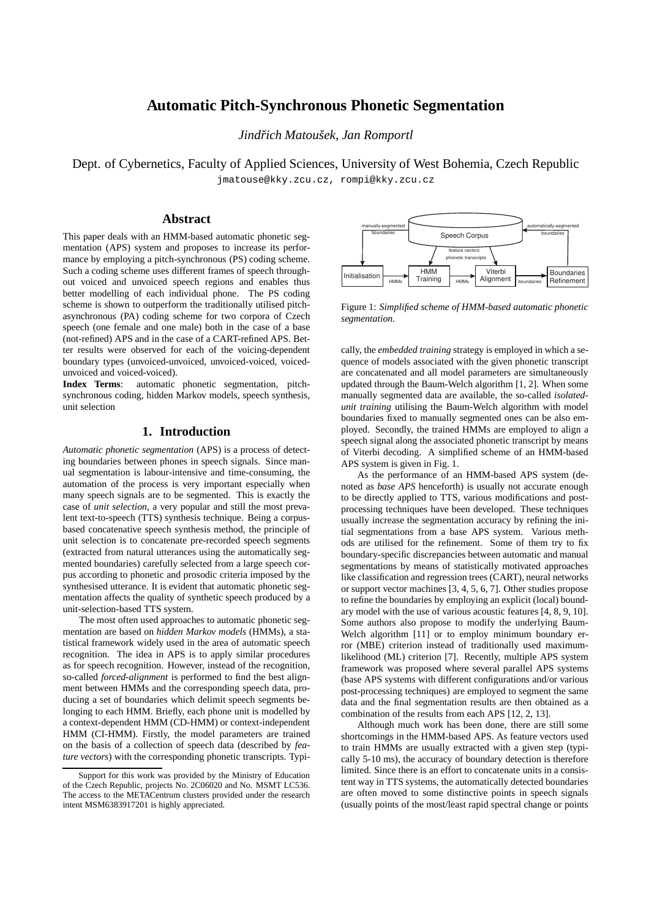# **Automatic Pitch-Synchronous Phonetic Segmentation**

*Jindrich Matouˇsek, Jan Romportl ˇ*

Dept. of Cybernetics, Faculty of Applied Sciences, University of West Bohemia, Czech Republic jmatouse@kky.zcu.cz, rompi@kky.zcu.cz

## **Abstract**

This paper deals with an HMM-based automatic phonetic segmentation (APS) system and proposes to increase its performance by employing a pitch-synchronous (PS) coding scheme. Such a coding scheme uses different frames of speech throughout voiced and unvoiced speech regions and enables thus better modelling of each individual phone. The PS coding scheme is shown to outperform the traditionally utilised pitchasynchronous (PA) coding scheme for two corpora of Czech speech (one female and one male) both in the case of a base (not-refined) APS and in the case of a CART-refined APS. Better results were observed for each of the voicing-dependent boundary types (unvoiced-unvoiced, unvoiced-voiced, voicedunvoiced and voiced-voiced).

**Index Terms**: automatic phonetic segmentation, pitchsynchronous coding, hidden Markov models, speech synthesis, unit selection

## **1. Introduction**

*Automatic phonetic segmentation* (APS) is a process of detecting boundaries between phones in speech signals. Since manual segmentation is labour-intensive and time-consuming, the automation of the process is very important especially when many speech signals are to be segmented. This is exactly the case of *unit selection*, a very popular and still the most prevalent text-to-speech (TTS) synthesis technique. Being a corpusbased concatenative speech synthesis method, the principle of unit selection is to concatenate pre-recorded speech segments (extracted from natural utterances using the automatically segmented boundaries) carefully selected from a large speech corpus according to phonetic and prosodic criteria imposed by the synthesised utterance. It is evident that automatic phonetic segmentation affects the quality of synthetic speech produced by a unit-selection-based TTS system.

The most often used approaches to automatic phonetic segmentation are based on *hidden Markov models* (HMMs), a statistical framework widely used in the area of automatic speech recognition. The idea in APS is to apply similar procedures as for speech recognition. However, instead of the recognition, so-called *forced-alignment* is performed to find the best alignment between HMMs and the corresponding speech data, producing a set of boundaries which delimit speech segments belonging to each HMM. Briefly, each phone unit is modelled by a context-dependent HMM (CD-HMM) or context-independent HMM (CI-HMM). Firstly, the model parameters are trained on the basis of a collection of speech data (described by *feature vectors*) with the corresponding phonetic transcripts. Typi-



Figure 1: *Simplified scheme of HMM-based automatic phonetic segmentation.*

cally, the *embedded training* strategy is employed in which a sequence of models associated with the given phonetic transcript are concatenated and all model parameters are simultaneously updated through the Baum-Welch algorithm [1, 2]. When some manually segmented data are available, the so-called *isolatedunit training* utilising the Baum-Welch algorithm with model boundaries fixed to manually segmented ones can be also employed. Secondly, the trained HMMs are employed to align a speech signal along the associated phonetic transcript by means of Viterbi decoding. A simplified scheme of an HMM-based APS system is given in Fig. 1.

As the performance of an HMM-based APS system (denoted as *base APS* henceforth) is usually not accurate enough to be directly applied to TTS, various modifications and postprocessing techniques have been developed. These techniques usually increase the segmentation accuracy by refining the initial segmentations from a base APS system. Various methods are utilised for the refinement. Some of them try to fix boundary-specific discrepancies between automatic and manual segmentations by means of statistically motivated approaches like classification and regression trees (CART), neural networks or support vector machines [3, 4, 5, 6, 7]. Other studies propose to refine the boundaries by employing an explicit (local) boundary model with the use of various acoustic features [4, 8, 9, 10]. Some authors also propose to modify the underlying Baum-Welch algorithm [11] or to employ minimum boundary error (MBE) criterion instead of traditionally used maximumlikelihood (ML) criterion [7]. Recently, multiple APS system framework was proposed where several parallel APS systems (base APS systems with different configurations and/or various post-processing techniques) are employed to segment the same data and the final segmentation results are then obtained as a combination of the results from each APS [12, 2, 13].

Although much work has been done, there are still some shortcomings in the HMM-based APS. As feature vectors used to train HMMs are usually extracted with a given step (typically 5-10 ms), the accuracy of boundary detection is therefore limited. Since there is an effort to concatenate units in a consistent way in TTS systems, the automatically detected boundaries are often moved to some distinctive points in speech signals (usually points of the most/least rapid spectral change or points

Support for this work was provided by the Ministry of Education of the Czech Republic, projects No. 2C06020 and No. MSMT LC536. The access to the METACentrum clusters provided under the research intent MSM6383917201 is highly appreciated.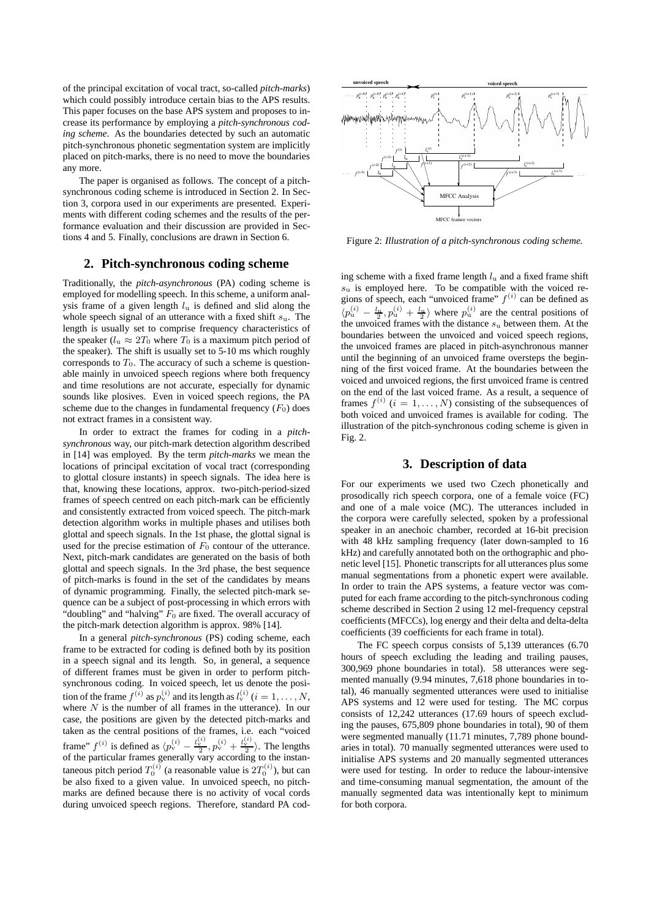of the principal excitation of vocal tract, so-called *pitch-marks*) which could possibly introduce certain bias to the APS results. This paper focuses on the base APS system and proposes to increase its performance by employing a *pitch-synchronous coding scheme*. As the boundaries detected by such an automatic pitch-synchronous phonetic segmentation system are implicitly placed on pitch-marks, there is no need to move the boundaries any more.

The paper is organised as follows. The concept of a pitchsynchronous coding scheme is introduced in Section 2. In Section 3, corpora used in our experiments are presented. Experiments with different coding schemes and the results of the performance evaluation and their discussion are provided in Sections 4 and 5. Finally, conclusions are drawn in Section 6.

## **2. Pitch-synchronous coding scheme**

Traditionally, the *pitch-asynchronous* (PA) coding scheme is employed for modelling speech. In this scheme, a uniform analysis frame of a given length  $l_{\rm u}$  is defined and slid along the whole speech signal of an utterance with a fixed shift  $s<sub>u</sub>$ . The length is usually set to comprise frequency characteristics of the speaker ( $l_u \approx 2T_0$  where  $T_0$  is a maximum pitch period of the speaker). The shift is usually set to 5-10 ms which roughly corresponds to  $T_0$ . The accuracy of such a scheme is questionable mainly in unvoiced speech regions where both frequency and time resolutions are not accurate, especially for dynamic sounds like plosives. Even in voiced speech regions, the PA scheme due to the changes in fundamental frequency  $(F_0)$  does not extract frames in a consistent way.

In order to extract the frames for coding in a *pitchsynchronous* way, our pitch-mark detection algorithm described in [14] was employed. By the term *pitch-marks* we mean the locations of principal excitation of vocal tract (corresponding to glottal closure instants) in speech signals. The idea here is that, knowing these locations, approx. two-pitch-period-sized frames of speech centred on each pitch-mark can be efficiently and consistently extracted from voiced speech. The pitch-mark detection algorithm works in multiple phases and utilises both glottal and speech signals. In the 1st phase, the glottal signal is used for the precise estimation of  $F_0$  contour of the utterance. Next, pitch-mark candidates are generated on the basis of both glottal and speech signals. In the 3rd phase, the best sequence of pitch-marks is found in the set of the candidates by means of dynamic programming. Finally, the selected pitch-mark sequence can be a subject of post-processing in which errors with "doubling" and "halving"  $F_0$  are fixed. The overall accuracy of the pitch-mark detection algorithm is approx. 98% [14].

In a general *pitch-synchronous* (PS) coding scheme, each frame to be extracted for coding is defined both by its position in a speech signal and its length. So, in general, a sequence of different frames must be given in order to perform pitchsynchronous coding. In voiced speech, let us denote the position of the frame  $f^{(i)}$  as  $p_{\rm v}^{(i)}$  and its length as  $l_{\rm v}^{(i)}$  ( $i = 1, \ldots, N$ , where  $N$  is the number of all frames in the utterance). In our case, the positions are given by the detected pitch-marks and taken as the central positions of the frames, i.e. each "voiced frame"  $f^{(i)}$  is defined as  $\langle p_v^{(i)} - \frac{l_v^{(i)}}{2}, p_v^{(i)} + \frac{l_v^{(i)}}{2} \rangle$ . The lengths of the particular frames generally vary according to the instantaneous pitch period  $T_0^{(i)}$  (a reasonable value is  $2T_0^{(i)}$ ), but can be also fixed to a given value. In unvoiced speech, no pitchmarks are defined because there is no activity of vocal cords during unvoiced speech regions. Therefore, standard PA cod-



Figure 2: *Illustration of a pitch-synchronous coding scheme.*

ing scheme with a fixed frame length  $l_u$  and a fixed frame shift  $s<sub>u</sub>$  is employed here. To be compatible with the voiced regions of speech, each "unvoiced frame"  $f^{(i)}$  can be defined as  $\langle p_{\rm u}^{(i)} - \frac{l_{\rm u}}{2}, p_{\rm u}^{(i)} + \frac{l_{\rm u}}{2} \rangle$  where  $p_{\rm u}^{(i)}$  are the central positions of the unvoiced frames with the distance  $s<sub>u</sub>$  between them. At the boundaries between the unvoiced and voiced speech regions, the unvoiced frames are placed in pitch-asynchronous manner until the beginning of an unvoiced frame oversteps the beginning of the first voiced frame. At the boundaries between the voiced and unvoiced regions, the first unvoiced frame is centred on the end of the last voiced frame. As a result, a sequence of frames  $f^{(i)}$   $(i = 1, ..., N)$  consisting of the subsequences of both voiced and unvoiced frames is available for coding. The illustration of the pitch-synchronous coding scheme is given in Fig. 2.

## **3. Description of data**

For our experiments we used two Czech phonetically and prosodically rich speech corpora, one of a female voice (FC) and one of a male voice (MC). The utterances included in the corpora were carefully selected, spoken by a professional speaker in an anechoic chamber, recorded at 16-bit precision with 48 kHz sampling frequency (later down-sampled to 16 kHz) and carefully annotated both on the orthographic and phonetic level [15]. Phonetic transcripts for all utterances plus some manual segmentations from a phonetic expert were available. In order to train the APS systems, a feature vector was computed for each frame according to the pitch-synchronous coding scheme described in Section 2 using 12 mel-frequency cepstral coefficients (MFCCs), log energy and their delta and delta-delta coefficients (39 coefficients for each frame in total).

The FC speech corpus consists of 5,139 utterances (6.70 hours of speech excluding the leading and trailing pauses, 300,969 phone boundaries in total). 58 utterances were segmented manually (9.94 minutes, 7,618 phone boundaries in total), 46 manually segmented utterances were used to initialise APS systems and 12 were used for testing. The MC corpus consists of 12,242 utterances (17.69 hours of speech excluding the pauses, 675,809 phone boundaries in total), 90 of them were segmented manually (11.71 minutes, 7,789 phone boundaries in total). 70 manually segmented utterances were used to initialise APS systems and 20 manually segmented utterances were used for testing. In order to reduce the labour-intensive and time-consuming manual segmentation, the amount of the manually segmented data was intentionally kept to minimum for both corpora.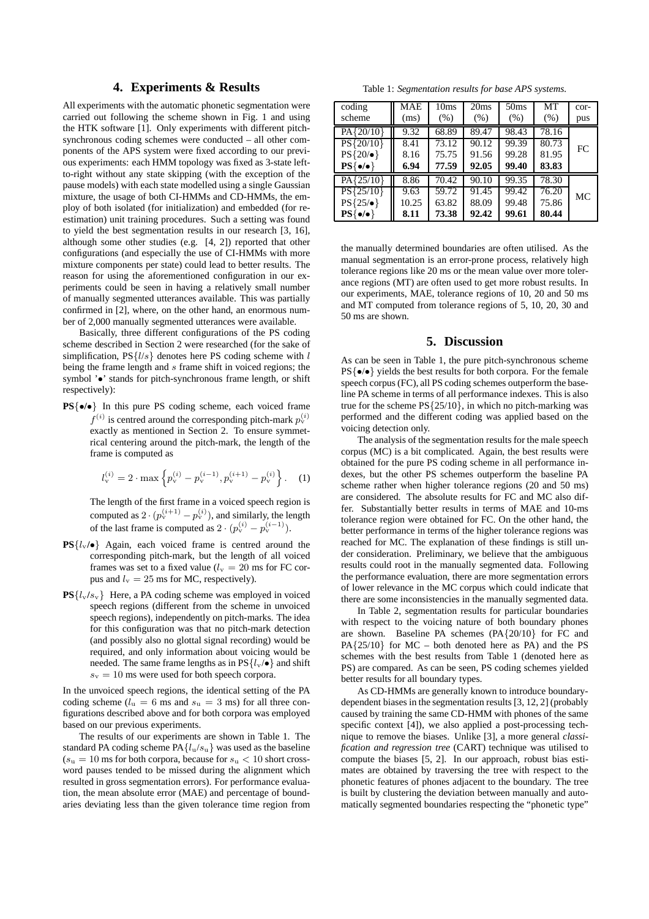## **4. Experiments & Results**

All experiments with the automatic phonetic segmentation were carried out following the scheme shown in Fig. 1 and using the HTK software [1]. Only experiments with different pitchsynchronous coding schemes were conducted – all other components of the APS system were fixed according to our previous experiments: each HMM topology was fixed as 3-state leftto-right without any state skipping (with the exception of the pause models) with each state modelled using a single Gaussian mixture, the usage of both CI-HMMs and CD-HMMs, the employ of both isolated (for initialization) and embedded (for reestimation) unit training procedures. Such a setting was found to yield the best segmentation results in our research [3, 16], although some other studies (e.g. [4, 2]) reported that other configurations (and especially the use of CI-HMMs with more mixture components per state) could lead to better results. The reason for using the aforementioned configuration in our experiments could be seen in having a relatively small number of manually segmented utterances available. This was partially confirmed in [2], where, on the other hand, an enormous number of 2,000 manually segmented utterances were available.

Basically, three different configurations of the PS coding scheme described in Section 2 were researched (for the sake of simplification,  $PS{l/s}$  denotes here PS coding scheme with l being the frame length and s frame shift in voiced regions; the symbol ' $\bullet$ ' stands for pitch-synchronous frame length, or shift respectively):

**PS**{•**/**•} In this pure PS coding scheme, each voiced frame  $f^{(i)}$  is centred around the corresponding pitch-mark  $p_{\text{v}}^{(i)}$ exactly as mentioned in Section 2. To ensure symmetrical centering around the pitch-mark, the length of the frame is computed as

$$
l_{\rm v}^{(i)} = 2 \cdot \max \left\{ p_{\rm v}^{(i)} - p_{\rm v}^{(i-1)}, p_{\rm v}^{(i+1)} - p_{\rm v}^{(i)} \right\}.
$$
 (1)

The length of the first frame in a voiced speech region is computed as  $2 \cdot (p_{v}^{(i+1)} - p_{v}^{(i)})$ , and similarly, the length of the last frame is computed as  $2 \cdot (p_v^{(i)} - p_v^{(i-1)})$ .

- $PS{l_v/\bullet}$  Again, each voiced frame is centred around the corresponding pitch-mark, but the length of all voiced frames was set to a fixed value ( $l_v = 20$  ms for FC corpus and  $l_v = 25$  ms for MC, respectively).
- $PS{l_v/s_v}$  Here, a PA coding scheme was employed in voiced speech regions (different from the scheme in unvoiced speech regions), independently on pitch-marks. The idea for this configuration was that no pitch-mark detection (and possibly also no glottal signal recording) would be required, and only information about voicing would be needed. The same frame lengths as in  $PS{l_v \bullet}$  and shift  $s_v = 10$  ms were used for both speech corpora.

In the unvoiced speech regions, the identical setting of the PA coding scheme ( $l<sub>u</sub> = 6$  ms and  $s<sub>u</sub> = 3$  ms) for all three configurations described above and for both corpora was employed based on our previous experiments.

The results of our experiments are shown in Table 1. The standard PA coding scheme  $PA{l_u/s_u}$  was used as the baseline  $(s<sub>u</sub> = 10$  ms for both corpora, because for  $s<sub>u</sub> < 10$  short crossword pauses tended to be missed during the alignment which resulted in gross segmentation errors). For performance evaluation, the mean absolute error (MAE) and percentage of boundaries deviating less than the given tolerance time region from

Table 1: *Segmentation results for base APS systems.*

| coding                  | MAE   | 10ms  | 20ms  | 50 <sub>ms</sub> | MТ    | $cor-$ |
|-------------------------|-------|-------|-------|------------------|-------|--------|
| scheme                  | (ms)  | (% )  | (% )  | (% )             | (% )  | pus    |
| PA{20/10}               | 9.32  | 68.89 | 89.47 | 98.43            | 78.16 |        |
| $PS{20/10}$             | 8.41  | 73.12 | 90.12 | 99.39            | 80.73 | FC     |
| $PS{20\prime\bullet}$   | 8.16  | 75.75 | 91.56 | 99.28            | 81.95 |        |
| $PS\{\bullet/\bullet\}$ | 6.94  | 77.59 | 92.05 | 99.40            | 83.83 |        |
| $PA{25/10}$             | 8.86  | 70.42 | 90.10 | 99.35            | 78.30 |        |
| $PS{25/10}$             | 9.63  | 59.72 | 91.45 | 99.42            | 76.20 | МC     |
| $PS{25/\bullet}$        | 10.25 | 63.82 | 88.09 | 99.48            | 75.86 |        |
| $PS\{\bullet/\bullet\}$ | 8.11  | 73.38 | 92.42 | 99.61            | 80.44 |        |

the manually determined boundaries are often utilised. As the manual segmentation is an error-prone process, relatively high tolerance regions like 20 ms or the mean value over more tolerance regions (MT) are often used to get more robust results. In our experiments, MAE, tolerance regions of 10, 20 and 50 ms and MT computed from tolerance regions of 5, 10, 20, 30 and 50 ms are shown.

## **5. Discussion**

As can be seen in Table 1, the pure pitch-synchronous scheme PS{•/•} yields the best results for both corpora. For the female speech corpus (FC), all PS coding schemes outperform the baseline PA scheme in terms of all performance indexes. This is also true for the scheme  $PS{25/10}$ , in which no pitch-marking was performed and the different coding was applied based on the voicing detection only.

The analysis of the segmentation results for the male speech corpus (MC) is a bit complicated. Again, the best results were obtained for the pure PS coding scheme in all performance indexes, but the other PS schemes outperform the baseline PA scheme rather when higher tolerance regions (20 and 50 ms) are considered. The absolute results for FC and MC also differ. Substantially better results in terms of MAE and 10-ms tolerance region were obtained for FC. On the other hand, the better performance in terms of the higher tolerance regions was reached for MC. The explanation of these findings is still under consideration. Preliminary, we believe that the ambiguous results could root in the manually segmented data. Following the performance evaluation, there are more segmentation errors of lower relevance in the MC corpus which could indicate that there are some inconsistencies in the manually segmented data.

In Table 2, segmentation results for particular boundaries with respect to the voicing nature of both boundary phones are shown. Baseline PA schemes (PA{20/10} for FC and  $PA{25/10}$  for MC – both denoted here as PA) and the PS schemes with the best results from Table 1 (denoted here as PS) are compared. As can be seen, PS coding schemes yielded better results for all boundary types.

As CD-HMMs are generally known to introduce boundarydependent biases in the segmentation results [3, 12, 2] (probably caused by training the same CD-HMM with phones of the same specific context [4]), we also applied a post-processing technique to remove the biases. Unlike [3], a more general *classification and regression tree* (CART) technique was utilised to compute the biases [5, 2]. In our approach, robust bias estimates are obtained by traversing the tree with respect to the phonetic features of phones adjacent to the boundary. The tree is built by clustering the deviation between manually and automatically segmented boundaries respecting the "phonetic type"